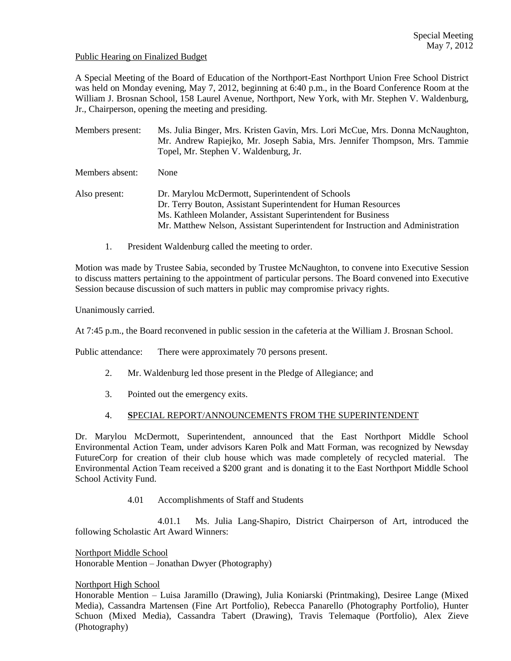### Public Hearing on Finalized Budget

A Special Meeting of the Board of Education of the Northport-East Northport Union Free School District was held on Monday evening, May 7, 2012, beginning at 6:40 p.m., in the Board Conference Room at the William J. Brosnan School, 158 Laurel Avenue, Northport, New York, with Mr. Stephen V. Waldenburg, Jr., Chairperson, opening the meeting and presiding.

Members present: Ms. Julia Binger, Mrs. Kristen Gavin, Mrs. Lori McCue, Mrs. Donna McNaughton, Mr. Andrew Rapiejko, Mr. Joseph Sabia, Mrs. Jennifer Thompson, Mrs. Tammie Topel, Mr. Stephen V. Waldenburg, Jr. Members absent: None Also present: Dr. Marylou McDermott, Superintendent of Schools Dr. Terry Bouton, Assistant Superintendent for Human Resources Ms. Kathleen Molander, Assistant Superintendent for Business Mr. Matthew Nelson, Assistant Superintendent for Instruction and Administration

1. President Waldenburg called the meeting to order.

Motion was made by Trustee Sabia, seconded by Trustee McNaughton, to convene into Executive Session to discuss matters pertaining to the appointment of particular persons. The Board convened into Executive Session because discussion of such matters in public may compromise privacy rights.

Unanimously carried.

At 7:45 p.m., the Board reconvened in public session in the cafeteria at the William J. Brosnan School.

Public attendance: There were approximately 70 persons present.

- 2. Mr. Waldenburg led those present in the Pledge of Allegiance; and
- 3. Pointed out the emergency exits.

#### 4. **S**PECIAL REPORT/ANNOUNCEMENTS FROM THE SUPERINTENDENT

Dr. Marylou McDermott, Superintendent, announced that the East Northport Middle School Environmental Action Team, under advisors Karen Polk and Matt Forman, was recognized by Newsday FutureCorp for creation of their club house which was made completely of recycled material. The Environmental Action Team received a \$200 grant and is donating it to the East Northport Middle School School Activity Fund.

4.01 Accomplishments of Staff and Students

4.01.1 Ms. Julia Lang-Shapiro, District Chairperson of Art, introduced the following Scholastic Art Award Winners:

Northport Middle School Honorable Mention – Jonathan Dwyer (Photography)

#### Northport High School

Honorable Mention – Luisa Jaramillo (Drawing), Julia Koniarski (Printmaking), Desiree Lange (Mixed Media), Cassandra Martensen (Fine Art Portfolio), Rebecca Panarello (Photography Portfolio), Hunter Schuon (Mixed Media), Cassandra Tabert (Drawing), Travis Telemaque (Portfolio), Alex Zieve (Photography)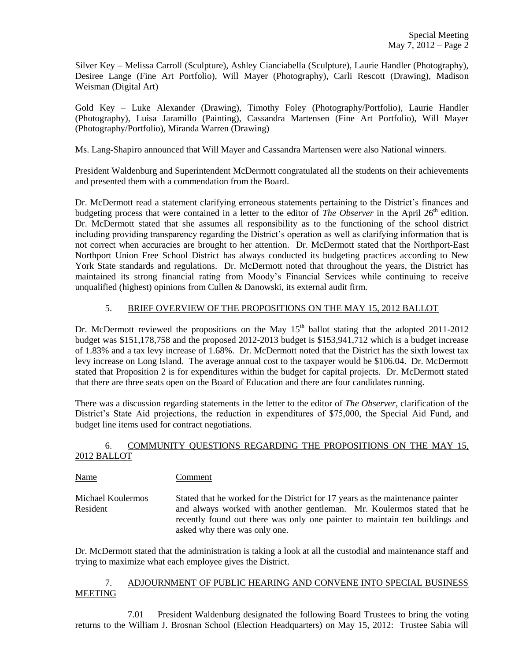Silver Key – Melissa Carroll (Sculpture), Ashley Cianciabella (Sculpture), Laurie Handler (Photography), Desiree Lange (Fine Art Portfolio), Will Mayer (Photography), Carli Rescott (Drawing), Madison Weisman (Digital Art)

Gold Key – Luke Alexander (Drawing), Timothy Foley (Photography/Portfolio), Laurie Handler (Photography), Luisa Jaramillo (Painting), Cassandra Martensen (Fine Art Portfolio), Will Mayer (Photography/Portfolio), Miranda Warren (Drawing)

Ms. Lang-Shapiro announced that Will Mayer and Cassandra Martensen were also National winners.

President Waldenburg and Superintendent McDermott congratulated all the students on their achievements and presented them with a commendation from the Board.

Dr. McDermott read a statement clarifying erroneous statements pertaining to the District's finances and budgeting process that were contained in a letter to the editor of *The Observer* in the April 26<sup>th</sup> edition. Dr. McDermott stated that she assumes all responsibility as to the functioning of the school district including providing transparency regarding the District's operation as well as clarifying information that is not correct when accuracies are brought to her attention. Dr. McDermott stated that the Northport-East Northport Union Free School District has always conducted its budgeting practices according to New York State standards and regulations. Dr. McDermott noted that throughout the years, the District has maintained its strong financial rating from Moody's Financial Services while continuing to receive unqualified (highest) opinions from Cullen & Danowski, its external audit firm.

# 5. BRIEF OVERVIEW OF THE PROPOSITIONS ON THE MAY 15, 2012 BALLOT

Dr. McDermott reviewed the propositions on the May  $15<sup>th</sup>$  ballot stating that the adopted 2011-2012 budget was \$151,178,758 and the proposed 2012-2013 budget is \$153,941,712 which is a budget increase of 1.83% and a tax levy increase of 1.68%. Dr. McDermott noted that the District has the sixth lowest tax levy increase on Long Island. The average annual cost to the taxpayer would be \$106.04. Dr. McDermott stated that Proposition 2 is for expenditures within the budget for capital projects. Dr. McDermott stated that there are three seats open on the Board of Education and there are four candidates running.

There was a discussion regarding statements in the letter to the editor of *The Observer*, clarification of the District's State Aid projections, the reduction in expenditures of \$75,000, the Special Aid Fund, and budget line items used for contract negotiations.

## 6. COMMUNITY QUESTIONS REGARDING THE PROPOSITIONS ON THE MAY 15, 2012 BALLOT

Name Comment

Michael Koulermos Stated that he worked for the District for 17 years as the maintenance painter Resident and always worked with another gentleman. Mr. Koulermos stated that he recently found out there was only one painter to maintain ten buildings and asked why there was only one.

Dr. McDermott stated that the administration is taking a look at all the custodial and maintenance staff and trying to maximize what each employee gives the District.

# 7. ADJOURNMENT OF PUBLIC HEARING AND CONVENE INTO SPECIAL BUSINESS **MEETING**

7.01 President Waldenburg designated the following Board Trustees to bring the voting returns to the William J. Brosnan School (Election Headquarters) on May 15, 2012: Trustee Sabia will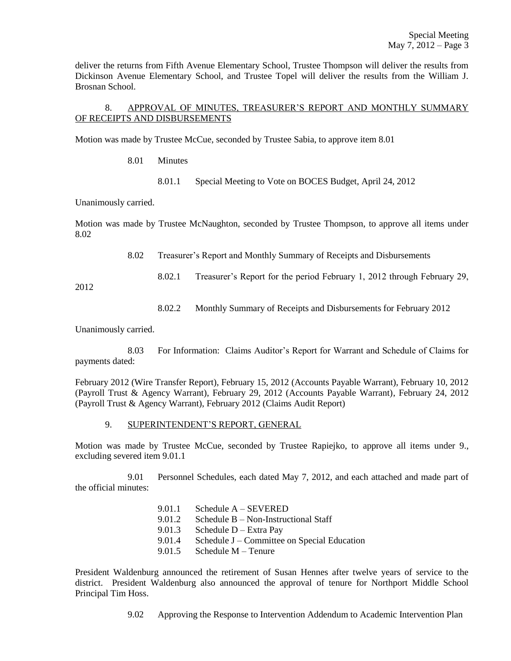deliver the returns from Fifth Avenue Elementary School, Trustee Thompson will deliver the results from Dickinson Avenue Elementary School, and Trustee Topel will deliver the results from the William J. Brosnan School.

# 8. APPROVAL OF MINUTES, TREASURER'S REPORT AND MONTHLY SUMMARY OF RECEIPTS AND DISBURSEMENTS

Motion was made by Trustee McCue, seconded by Trustee Sabia, to approve item 8.01

8.01 Minutes

8.01.1 Special Meeting to Vote on BOCES Budget, April 24, 2012

Unanimously carried.

Motion was made by Trustee McNaughton, seconded by Trustee Thompson, to approve all items under 8.02

8.02 Treasurer's Report and Monthly Summary of Receipts and Disbursements

8.02.1 Treasurer's Report for the period February 1, 2012 through February 29,

2012

8.02.2 Monthly Summary of Receipts and Disbursements for February 2012

Unanimously carried.

8.03 For Information: Claims Auditor's Report for Warrant and Schedule of Claims for payments dated:

February 2012 (Wire Transfer Report), February 15, 2012 (Accounts Payable Warrant), February 10, 2012 (Payroll Trust & Agency Warrant), February 29, 2012 (Accounts Payable Warrant), February 24, 2012 (Payroll Trust & Agency Warrant), February 2012 (Claims Audit Report)

#### 9. SUPERINTENDENT'S REPORT, GENERAL

Motion was made by Trustee McCue, seconded by Trustee Rapiejko, to approve all items under 9., excluding severed item 9.01.1

9.01 Personnel Schedules, each dated May 7, 2012, and each attached and made part of the official minutes:

> 9.01.1 Schedule A – SEVERED 9.01.2 Schedule B – Non-Instructional Staff 9.01.3 Schedule D – Extra Pay 9.01.4 Schedule J – Committee on Special Education 9.01.5 Schedule M – Tenure

President Waldenburg announced the retirement of Susan Hennes after twelve years of service to the district. President Waldenburg also announced the approval of tenure for Northport Middle School Principal Tim Hoss.

9.02 Approving the Response to Intervention Addendum to Academic Intervention Plan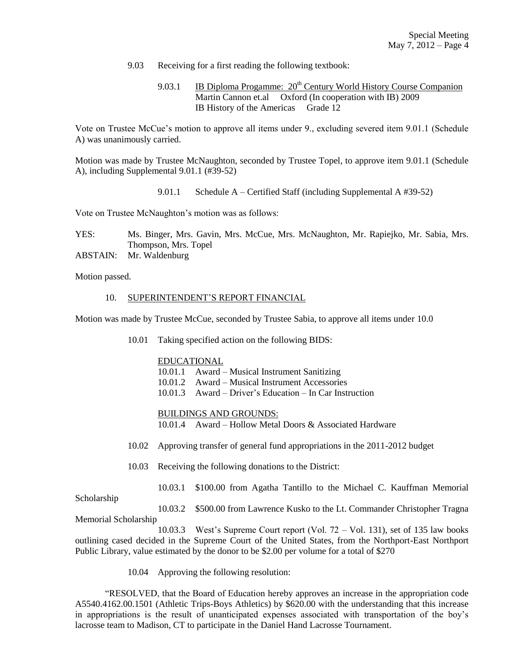- 9.03 Receiving for a first reading the following textbook:
	- 9.03.1 IB Diploma Progamme:  $20^{th}$  Century World History Course Companion Martin Cannon et.al Oxford (In cooperation with IB) 2009 IB History of the Americas Grade 12

Vote on Trustee McCue's motion to approve all items under 9., excluding severed item 9.01.1 (Schedule A) was unanimously carried.

Motion was made by Trustee McNaughton, seconded by Trustee Topel, to approve item 9.01.1 (Schedule A), including Supplemental 9.01.1 (#39-52)

9.01.1 Schedule A – Certified Staff (including Supplemental A #39-52)

Vote on Trustee McNaughton's motion was as follows:

YES: Ms. Binger, Mrs. Gavin, Mrs. McCue, Mrs. McNaughton, Mr. Rapiejko, Mr. Sabia, Mrs. Thompson, Mrs. Topel ABSTAIN: Mr. Waldenburg

Motion passed.

10. SUPERINTENDENT'S REPORT FINANCIAL

Motion was made by Trustee McCue, seconded by Trustee Sabia, to approve all items under 10.0

10.01 Taking specified action on the following BIDS:

### EDUCATIONAL

- 10.01.1 Award Musical Instrument Sanitizing
- 10.01.2 Award Musical Instrument Accessories
- 10.01.3 Award Driver's Education In Car Instruction

BUILDINGS AND GROUNDS:

- 10.01.4 Award Hollow Metal Doors & Associated Hardware
- 10.02 Approving transfer of general fund appropriations in the 2011-2012 budget
- 10.03 Receiving the following donations to the District:
	- 10.03.1 \$100.00 from Agatha Tantillo to the Michael C. Kauffman Memorial

Scholarship

10.03.2 \$500.00 from Lawrence Kusko to the Lt. Commander Christopher Tragna Memorial Scholarship

10.03.3 West's Supreme Court report (Vol. 72 – Vol. 131), set of 135 law books outlining cased decided in the Supreme Court of the United States, from the Northport-East Northport Public Library, value estimated by the donor to be \$2.00 per volume for a total of \$270

10.04 Approving the following resolution:

"RESOLVED, that the Board of Education hereby approves an increase in the appropriation code A5540.4162.00.1501 (Athletic Trips-Boys Athletics) by \$620.00 with the understanding that this increase in appropriations is the result of unanticipated expenses associated with transportation of the boy's lacrosse team to Madison, CT to participate in the Daniel Hand Lacrosse Tournament.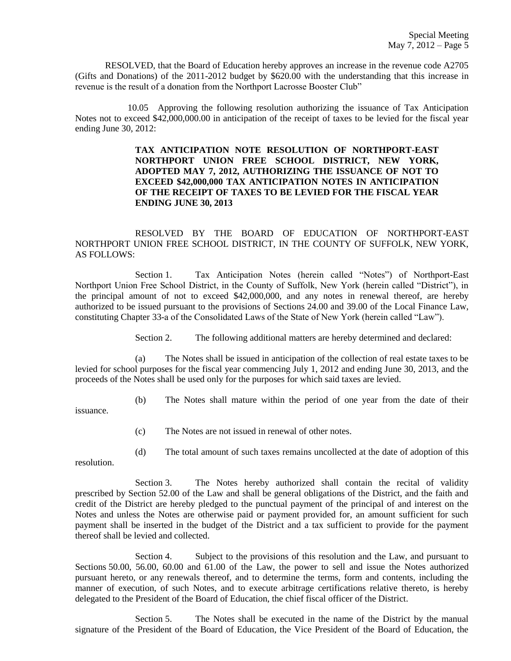RESOLVED, that the Board of Education hereby approves an increase in the revenue code A2705 (Gifts and Donations) of the 2011-2012 budget by \$620.00 with the understanding that this increase in revenue is the result of a donation from the Northport Lacrosse Booster Club"

10.05 Approving the following resolution authorizing the issuance of Tax Anticipation Notes not to exceed \$42,000,000.00 in anticipation of the receipt of taxes to be levied for the fiscal year ending June 30, 2012:

> **TAX ANTICIPATION NOTE RESOLUTION OF NORTHPORT-EAST NORTHPORT UNION FREE SCHOOL DISTRICT, NEW YORK, ADOPTED MAY 7, 2012, AUTHORIZING THE ISSUANCE OF NOT TO EXCEED \$42,000,000 TAX ANTICIPATION NOTES IN ANTICIPATION OF THE RECEIPT OF TAXES TO BE LEVIED FOR THE FISCAL YEAR ENDING JUNE 30, 2013**

## RESOLVED BY THE BOARD OF EDUCATION OF NORTHPORT-EAST NORTHPORT UNION FREE SCHOOL DISTRICT, IN THE COUNTY OF SUFFOLK, NEW YORK, AS FOLLOWS:

Section 1. Tax Anticipation Notes (herein called "Notes") of Northport-East Northport Union Free School District, in the County of Suffolk, New York (herein called "District"), in the principal amount of not to exceed \$42,000,000, and any notes in renewal thereof, are hereby authorized to be issued pursuant to the provisions of Sections 24.00 and 39.00 of the Local Finance Law, constituting Chapter 33-a of the Consolidated Laws of the State of New York (herein called "Law").

Section 2. The following additional matters are hereby determined and declared:

(a) The Notes shall be issued in anticipation of the collection of real estate taxes to be levied for school purposes for the fiscal year commencing July 1, 2012 and ending June 30, 2013, and the proceeds of the Notes shall be used only for the purposes for which said taxes are levied.

(b) The Notes shall mature within the period of one year from the date of their

issuance.

- (c) The Notes are not issued in renewal of other notes.
- (d) The total amount of such taxes remains uncollected at the date of adoption of this

resolution.

Section 3. The Notes hereby authorized shall contain the recital of validity prescribed by Section 52.00 of the Law and shall be general obligations of the District, and the faith and credit of the District are hereby pledged to the punctual payment of the principal of and interest on the Notes and unless the Notes are otherwise paid or payment provided for, an amount sufficient for such payment shall be inserted in the budget of the District and a tax sufficient to provide for the payment thereof shall be levied and collected.

Section 4. Subject to the provisions of this resolution and the Law, and pursuant to Sections 50.00, 56.00, 60.00 and 61.00 of the Law, the power to sell and issue the Notes authorized pursuant hereto, or any renewals thereof, and to determine the terms, form and contents, including the manner of execution, of such Notes, and to execute arbitrage certifications relative thereto, is hereby delegated to the President of the Board of Education, the chief fiscal officer of the District.

Section 5. The Notes shall be executed in the name of the District by the manual signature of the President of the Board of Education, the Vice President of the Board of Education, the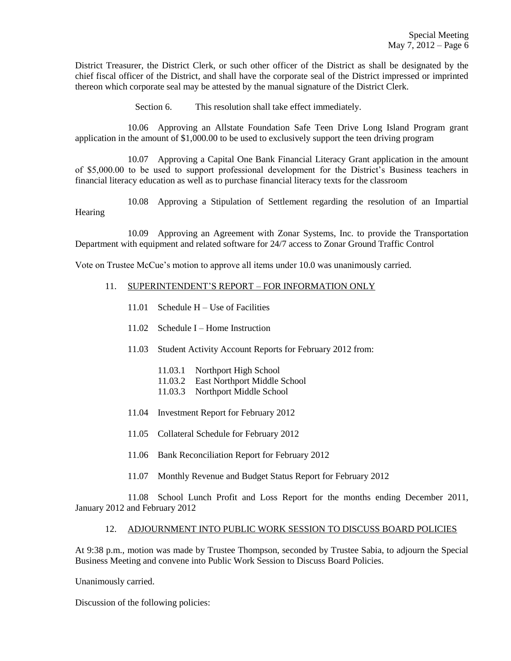District Treasurer, the District Clerk, or such other officer of the District as shall be designated by the chief fiscal officer of the District, and shall have the corporate seal of the District impressed or imprinted thereon which corporate seal may be attested by the manual signature of the District Clerk.

Section 6. This resolution shall take effect immediately.

10.06 Approving an Allstate Foundation Safe Teen Drive Long Island Program grant application in the amount of \$1,000.00 to be used to exclusively support the teen driving program

10.07 Approving a Capital One Bank Financial Literacy Grant application in the amount of \$5,000.00 to be used to support professional development for the District's Business teachers in financial literacy education as well as to purchase financial literacy texts for the classroom

10.08 Approving a Stipulation of Settlement regarding the resolution of an Impartial **Hearing** 

10.09 Approving an Agreement with Zonar Systems, Inc. to provide the Transportation Department with equipment and related software for 24/7 access to Zonar Ground Traffic Control

Vote on Trustee McCue's motion to approve all items under 10.0 was unanimously carried.

### 11. SUPERINTENDENT'S REPORT – FOR INFORMATION ONLY

- 11.01 Schedule H Use of Facilities
- 11.02 Schedule I Home Instruction
- 11.03 Student Activity Account Reports for February 2012 from:
	- 11.03.1 Northport High School
	- 11.03.2 East Northport Middle School
	- 11.03.3 Northport Middle School
- 11.04 Investment Report for February 2012
- 11.05 Collateral Schedule for February 2012
- 11.06 Bank Reconciliation Report for February 2012
- 11.07 Monthly Revenue and Budget Status Report for February 2012

11.08 School Lunch Profit and Loss Report for the months ending December 2011, January 2012 and February 2012

### 12. ADJOURNMENT INTO PUBLIC WORK SESSION TO DISCUSS BOARD POLICIES

At 9:38 p.m., motion was made by Trustee Thompson, seconded by Trustee Sabia, to adjourn the Special Business Meeting and convene into Public Work Session to Discuss Board Policies.

Unanimously carried.

Discussion of the following policies: